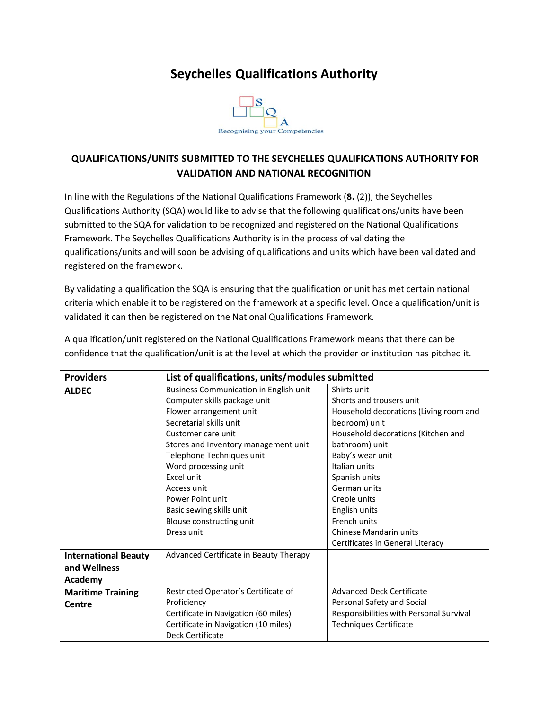## **Seychelles Qualifications Authority**



## **QUALIFICATIONS/UNITS SUBMITTED TO THE SEYCHELLES QUALIFICATIONS AUTHORITY FOR VALIDATION AND NATIONAL RECOGNITION**

In line with the Regulations of the National Qualifications Framework (**8.** (2)), the Seychelles Qualifications Authority (SQA) would like to advise that the following qualifications/units have been submitted to the SQA for validation to be recognized and registered on the National Qualifications Framework. The Seychelles Qualifications Authority is in the process of validating the qualifications/units and will soon be advising of qualifications and units which have been validated and registered on the framework.

By validating a qualification the SQA is ensuring that the qualification or unit has met certain national criteria which enable it to be registered on the framework at a specific level. Once a qualification/unit is validated it can then be registered on the National Qualifications Framework.

| <b>Providers</b>            | List of qualifications, units/modules submitted |                                         |
|-----------------------------|-------------------------------------------------|-----------------------------------------|
| <b>ALDEC</b>                | Business Communication in English unit          | Shirts unit                             |
|                             | Computer skills package unit                    | Shorts and trousers unit                |
|                             | Flower arrangement unit                         | Household decorations (Living room and  |
|                             | Secretarial skills unit                         | bedroom) unit                           |
|                             | Customer care unit                              | Household decorations (Kitchen and      |
|                             | Stores and Inventory management unit            | bathroom) unit                          |
|                             | Telephone Techniques unit                       | Baby's wear unit                        |
|                             | Word processing unit                            | Italian units                           |
|                             | Excel unit                                      | Spanish units                           |
|                             | Access unit                                     | German units                            |
|                             | Power Point unit                                | Creole units                            |
|                             | Basic sewing skills unit                        | English units                           |
|                             | Blouse constructing unit                        | French units                            |
|                             | Dress unit                                      | Chinese Mandarin units                  |
|                             |                                                 | Certificates in General Literacy        |
| <b>International Beauty</b> | Advanced Certificate in Beauty Therapy          |                                         |
| and Wellness                |                                                 |                                         |
| Academy                     |                                                 |                                         |
| <b>Maritime Training</b>    | Restricted Operator's Certificate of            | <b>Advanced Deck Certificate</b>        |
| Centre                      | Proficiency                                     | Personal Safety and Social              |
|                             | Certificate in Navigation (60 miles)            | Responsibilities with Personal Survival |
|                             | Certificate in Navigation (10 miles)            | <b>Techniques Certificate</b>           |
|                             | Deck Certificate                                |                                         |

A qualification/unit registered on the National Qualifications Framework means that there can be confidence that the qualification/unit is at the level at which the provider or institution has pitched it.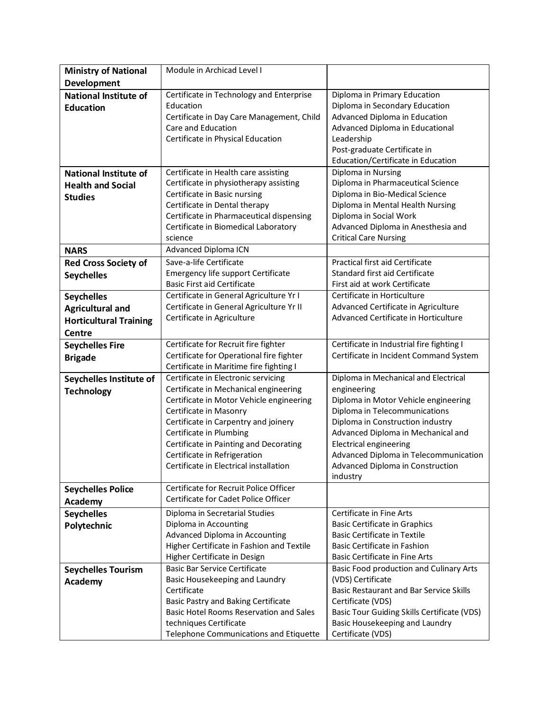| <b>Ministry of National</b>   | Module in Archicad Level I                                        |                                                                     |
|-------------------------------|-------------------------------------------------------------------|---------------------------------------------------------------------|
| Development                   |                                                                   |                                                                     |
| <b>National Institute of</b>  | Certificate in Technology and Enterprise                          | Diploma in Primary Education                                        |
| <b>Education</b>              | Education                                                         | Diploma in Secondary Education                                      |
|                               | Certificate in Day Care Management, Child                         | Advanced Diploma in Education                                       |
|                               | Care and Education                                                | Advanced Diploma in Educational                                     |
|                               | Certificate in Physical Education                                 | Leadership                                                          |
|                               |                                                                   | Post-graduate Certificate in                                        |
|                               |                                                                   | Education/Certificate in Education                                  |
| <b>National Institute of</b>  | Certificate in Health care assisting                              | Diploma in Nursing                                                  |
| <b>Health and Social</b>      | Certificate in physiotherapy assisting                            | Diploma in Pharmaceutical Science                                   |
| <b>Studies</b>                | Certificate in Basic nursing                                      | Diploma in Bio-Medical Science                                      |
|                               | Certificate in Dental therapy                                     | Diploma in Mental Health Nursing                                    |
|                               | Certificate in Pharmaceutical dispensing                          | Diploma in Social Work                                              |
|                               | Certificate in Biomedical Laboratory                              | Advanced Diploma in Anesthesia and                                  |
|                               | science                                                           | <b>Critical Care Nursing</b>                                        |
| <b>NARS</b>                   | <b>Advanced Diploma ICN</b>                                       |                                                                     |
| <b>Red Cross Society of</b>   | Save-a-life Certificate                                           | Practical first aid Certificate                                     |
| <b>Seychelles</b>             | <b>Emergency life support Certificate</b>                         | Standard first aid Certificate                                      |
|                               | <b>Basic First aid Certificate</b>                                | First aid at work Certificate                                       |
| <b>Seychelles</b>             | Certificate in General Agriculture Yr I                           | Certificate in Horticulture                                         |
| <b>Agricultural and</b>       | Certificate in General Agriculture Yr II                          | Advanced Certificate in Agriculture                                 |
| <b>Horticultural Training</b> | Certificate in Agriculture                                        | Advanced Certificate in Horticulture                                |
| <b>Centre</b>                 |                                                                   |                                                                     |
| <b>Seychelles Fire</b>        | Certificate for Recruit fire fighter                              | Certificate in Industrial fire fighting I                           |
| <b>Brigade</b>                | Certificate for Operational fire fighter                          | Certificate in Incident Command System                              |
|                               | Certificate in Maritime fire fighting I                           |                                                                     |
| Seychelles Institute of       | Certificate in Electronic servicing                               | Diploma in Mechanical and Electrical                                |
| <b>Technology</b>             | Certificate in Mechanical engineering                             | engineering                                                         |
|                               | Certificate in Motor Vehicle engineering                          | Diploma in Motor Vehicle engineering                                |
|                               | Certificate in Masonry                                            | Diploma in Telecommunications                                       |
|                               | Certificate in Carpentry and joinery                              | Diploma in Construction industry                                    |
|                               | Certificate in Plumbing<br>Certificate in Painting and Decorating | Advanced Diploma in Mechanical and<br><b>Electrical engineering</b> |
|                               | Certificate in Refrigeration                                      | Advanced Diploma in Telecommunication                               |
|                               | Certificate in Electrical installation                            | Advanced Diploma in Construction                                    |
|                               |                                                                   | industry                                                            |
| <b>Seychelles Police</b>      | Certificate for Recruit Police Officer                            |                                                                     |
| Academy                       | Certificate for Cadet Police Officer                              |                                                                     |
| <b>Seychelles</b>             | Diploma in Secretarial Studies                                    | Certificate in Fine Arts                                            |
| Polytechnic                   | Diploma in Accounting                                             | <b>Basic Certificate in Graphics</b>                                |
|                               | Advanced Diploma in Accounting                                    | <b>Basic Certificate in Textile</b>                                 |
|                               | Higher Certificate in Fashion and Textile                         | <b>Basic Certificate in Fashion</b>                                 |
|                               | Higher Certificate in Design                                      | <b>Basic Certificate in Fine Arts</b>                               |
| <b>Seychelles Tourism</b>     | <b>Basic Bar Service Certificate</b>                              | Basic Food production and Culinary Arts                             |
| Academy                       | Basic Housekeeping and Laundry                                    | (VDS) Certificate                                                   |
|                               | Certificate                                                       | Basic Restaurant and Bar Service Skills                             |
|                               | Basic Pastry and Baking Certificate                               | Certificate (VDS)                                                   |
|                               | <b>Basic Hotel Rooms Reservation and Sales</b>                    | <b>Basic Tour Guiding Skills Certificate (VDS)</b>                  |
|                               | techniques Certificate                                            | Basic Housekeeping and Laundry                                      |
|                               | Telephone Communications and Etiquette                            | Certificate (VDS)                                                   |